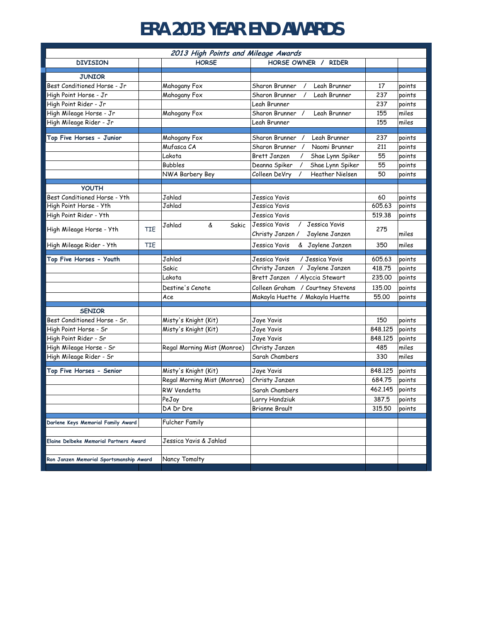## **ERA 2013 YEAR END AWARDS**

| 2013 High Points and Mileage Awards           |            |                             |                                                     |         |        |  |
|-----------------------------------------------|------------|-----------------------------|-----------------------------------------------------|---------|--------|--|
| <b>DIVISION</b>                               |            | <b>HORSE</b>                | HORSE OWNER /<br><b>RIDER</b>                       |         |        |  |
| <b>JUNIOR</b>                                 |            |                             |                                                     |         |        |  |
| Best Conditioned Horse - Jr                   |            | Mahogany Fox                | Leah Brunner<br>Sharon Brunner                      | 17      | points |  |
| High Point Horse - Jr                         |            | Mahogany Fox                | Sharon Brunner<br>Leah Brunner                      | 237     | points |  |
| High Point Rider - Jr                         |            |                             | Leah Brunner                                        | 237     | points |  |
| High Mileage Horse - Jr                       |            | Mahogany Fox                | Sharon Brunner<br>Leah Brunner<br>$\prime$          | 155     | miles  |  |
| High Mileage Rider - Jr                       |            |                             | Leah Brunner                                        | 155     | miles  |  |
|                                               |            |                             |                                                     |         |        |  |
| Top Five Horses - Junior                      |            | Mahogany Fox                | Sharon Brunner /<br>Leah Brunner                    | 237     | points |  |
|                                               |            | Mufasca CA                  | Sharon Brunner<br>$\prime$<br>Naomi Brunner         | 211     | points |  |
|                                               |            | Lakota                      | <b>Brett Janzen</b><br>Shae Lynn Spiker<br>$\prime$ | 55      | points |  |
|                                               |            | <b>Bubbles</b>              | Shae Lynn Spiker<br>Deanna Spiker<br>$\prime$       | 55      | points |  |
|                                               |            | NWA Barbery Bey             | Colleen DeVry<br><b>Heather Nielsen</b><br>$\prime$ | 50      | points |  |
| <b>YOUTH</b>                                  |            |                             |                                                     |         |        |  |
| Best Conditioned Horse - Yth                  |            | Jahlad                      | Jessica Yavis                                       | 60      | points |  |
| High Point Horse - Yth                        |            | Jahlad                      | Jessica Yavis                                       | 605.63  | points |  |
| High Point Rider - Yth                        |            |                             | Jessica Yavis                                       | 519.38  | points |  |
|                                               |            | Jahlad<br>&<br>Sakic        | Jessica Yavis<br>Jessica Yavis<br>$\prime$          | 275     |        |  |
| High Mileage Horse - Yth                      | <b>TIE</b> |                             | Jaylene Janzen<br>Christy Janzen /                  |         | miles  |  |
| High Mileage Rider - Yth                      | <b>TIE</b> |                             | Jessica Yavis<br>& Jaylene Janzen                   | 350     | miles  |  |
| Top Five Horses - Youth                       |            | Jahlad                      | / Jessica Yavis<br>Jessica Yavis                    | 605.63  | points |  |
|                                               |            | Sakic                       | Christy Janzen / Jaylene Janzen                     | 418.75  | points |  |
|                                               |            | Lakota                      | Brett Janzen / Alyccia Stewart                      | 235,00  | points |  |
|                                               |            | Destine's Cenote            | Colleen Graham / Courtney Stevens                   | 135,00  | points |  |
|                                               |            | Ace                         | Makayla Huette / Makayla Huette                     | 55.00   | points |  |
| <b>SENIOR</b>                                 |            |                             |                                                     |         |        |  |
| Best Conditioned Horse - Sr.                  |            | Misty's Knight (Kit)        | Jaye Yavis                                          | 150     | points |  |
| High Point Horse - Sr                         |            | Misty's Knight (Kit)        | Jaye Yavis                                          | 848.125 | points |  |
| High Point Rider - Sr                         |            |                             | Jaye Yavis                                          | 848,125 | points |  |
| High Mileage Horse - Sr                       |            | Regal Morning Mist (Monroe) | Christy Janzen                                      | 485     | miles  |  |
| High Mileage Rider - Sr                       |            |                             | Sarah Chambers                                      | 330     | miles  |  |
|                                               |            |                             |                                                     |         |        |  |
| Top Five Horses - Senior                      |            | Misty's Knight (Kit)        | Jaye Yavis                                          | 848,125 | points |  |
|                                               |            | Regal Morning Mist (Monroe) | Christy Janzen                                      | 684.75  | points |  |
|                                               |            | RW Vendetta                 | Sarah Chambers                                      | 462,145 | points |  |
|                                               |            | PeJay                       | Larry Handziuk                                      | 387.5   | points |  |
|                                               |            | DA Dr Dre                   | <b>Brianne Brault</b>                               | 315.50  | points |  |
| Darlene Keys Memorial Family Award            |            | <b>Fulcher Family</b>       |                                                     |         |        |  |
|                                               |            |                             |                                                     |         |        |  |
| <b>Elaine Delbeke Memorial Partners Award</b> |            | Jessica Yavis & Jahlad      |                                                     |         |        |  |
| Ron Janzen Memorial Sportsmanship Award       |            | Nancy Tomalty               |                                                     |         |        |  |
|                                               |            |                             |                                                     |         |        |  |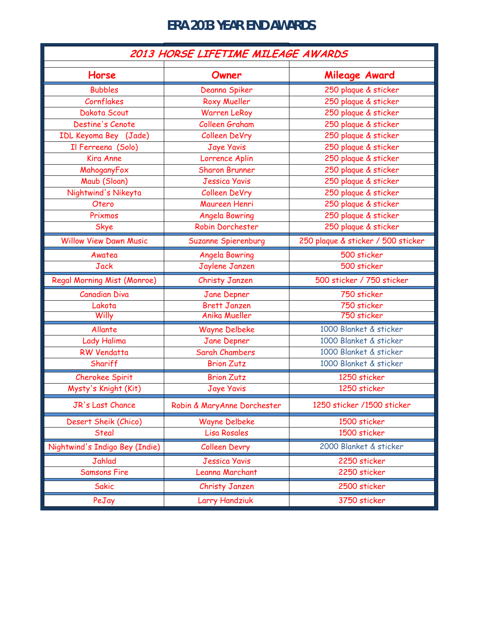## **ERA 2013 YEAR END AWARDS**

| 2013 HORSE LIFETIME MILEAGE AWARDS |                             |                                    |  |  |  |
|------------------------------------|-----------------------------|------------------------------------|--|--|--|
| Horse                              | Owner                       | Mileage Award                      |  |  |  |
| <b>Bubbles</b>                     | Deanna Spiker               | 250 plaque & sticker               |  |  |  |
| Cornflakes                         | Roxy Mueller                | 250 plaque & sticker               |  |  |  |
| Dakota Scout                       | <b>Warren LeRoy</b>         | 250 plaque & sticker               |  |  |  |
| Destine's Cenote                   | Colleen Graham              | 250 plaque & sticker               |  |  |  |
| IDL Keyoma Bey (Jade)              | <b>Colleen DeVry</b>        | 250 plaque & sticker               |  |  |  |
| Il Ferreena (Solo)                 | <b>Jaye Yavis</b>           | 250 plaque & sticker               |  |  |  |
| <b>Kira Anne</b>                   | Lorrence Aplin              | 250 plaque & sticker               |  |  |  |
| MahoganyFox                        | <b>Sharon Brunner</b>       | 250 plaque & sticker               |  |  |  |
| Maub (Sloan)                       | <b>Jessica Yavis</b>        | 250 plaque & sticker               |  |  |  |
| Nightwind's Nikeyta                | Colleen DeVry               | 250 plaque & sticker               |  |  |  |
| Otero                              | Maureen Henri               | 250 plaque & sticker               |  |  |  |
| Prixmos                            | <b>Angela Bowring</b>       | 250 plaque & sticker               |  |  |  |
| Skye                               | <b>Robin Dorchester</b>     | 250 plaque & sticker               |  |  |  |
| <b>Willow View Dawn Music</b>      | <b>Suzanne Spierenburg</b>  | 250 plaque & sticker / 500 sticker |  |  |  |
| Awatea                             | <b>Angela Bowring</b>       | 500 sticker                        |  |  |  |
| <b>Jack</b>                        | Jaylene Janzen              | 500 sticker                        |  |  |  |
| Regal Morning Mist (Monroe)        | <b>Christy Janzen</b>       | 500 sticker / 750 sticker          |  |  |  |
| <b>Canadian Diva</b>               | Jane Depner                 | 750 sticker                        |  |  |  |
| Lakota                             | <b>Brett Janzen</b>         | 750 sticker                        |  |  |  |
| Willy                              | <b>Anika Mueller</b>        | 750 sticker                        |  |  |  |
| Allante                            | <b>Wayne Delbeke</b>        | 1000 Blanket & sticker             |  |  |  |
| Lady Halima                        | <b>Jane Depner</b>          | 1000 Blanket & sticker             |  |  |  |
| <b>RW Vendatta</b>                 | <b>Sarah Chambers</b>       | 1000 Blanket & sticker             |  |  |  |
| Shariff                            | <b>Brion Zutz</b>           | 1000 Blanket & sticker             |  |  |  |
| <b>Cherokee Spirit</b>             | <b>Brion Zutz</b>           | 1250 sticker                       |  |  |  |
| Mysty's Knight (Kit)               | <b>Jaye Yavis</b>           | 1250 sticker                       |  |  |  |
| JR's Last Chance                   | Robin & MaryAnne Dorchester | 1250 sticker /1500 sticker         |  |  |  |
| Desert Sheik (Chico)               | Wayne Delbeke               | 1500 sticker                       |  |  |  |
| Steal                              | Lisa Rosales                | 1500 sticker                       |  |  |  |
| Nightwind's Indigo Bey (Indie)     | <b>Colleen Devry</b>        | 2000 Blanket & sticker             |  |  |  |
| Jahlad                             | <b>Jessica Yavis</b>        | 2250 sticker                       |  |  |  |
| <b>Samsons Fire</b>                | Leanna Marchant             | 2250 sticker                       |  |  |  |
| <b>Sakic</b>                       | Christy Janzen              | 2500 sticker                       |  |  |  |
| PeJay                              | Larry Handziuk              | 3750 sticker                       |  |  |  |